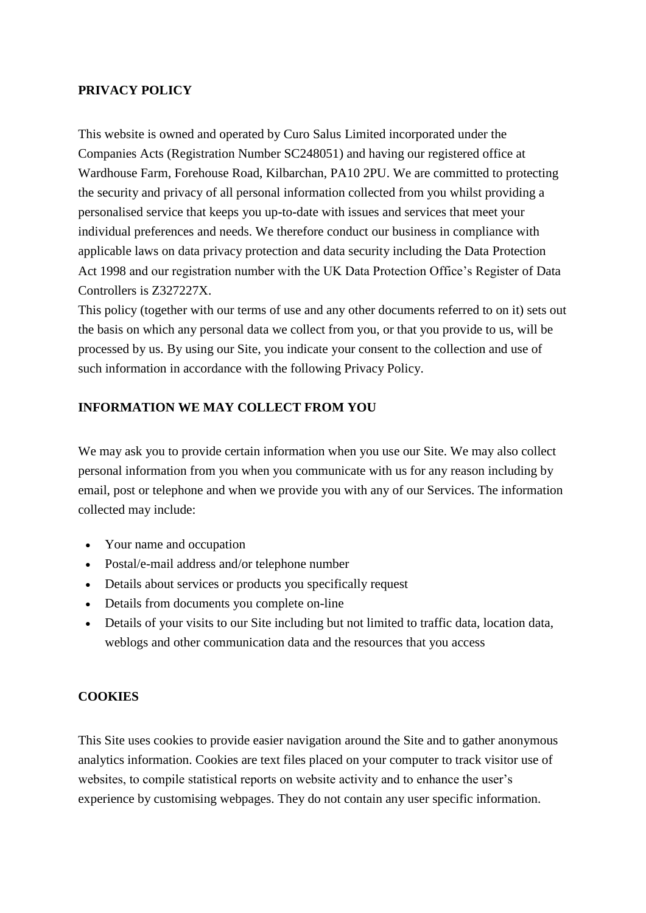### **PRIVACY POLICY**

This website is owned and operated by Curo Salus Limited incorporated under the Companies Acts (Registration Number SC248051) and having our registered office at Wardhouse Farm, Forehouse Road, Kilbarchan, PA10 2PU. We are committed to protecting the security and privacy of all personal information collected from you whilst providing a personalised service that keeps you up-to-date with issues and services that meet your individual preferences and needs. We therefore conduct our business in compliance with applicable laws on data privacy protection and data security including the Data Protection Act 1998 and our registration number with the UK Data Protection Office's Register of Data Controllers is Z327227X.

This policy (together with our terms of use and any other documents referred to on it) sets out the basis on which any personal data we collect from you, or that you provide to us, will be processed by us. By using our Site, you indicate your consent to the collection and use of such information in accordance with the following Privacy Policy.

## **INFORMATION WE MAY COLLECT FROM YOU**

We may ask you to provide certain information when you use our Site. We may also collect personal information from you when you communicate with us for any reason including by email, post or telephone and when we provide you with any of our Services. The information collected may include:

- Your name and occupation
- Postal/e-mail address and/or telephone number
- Details about services or products you specifically request
- Details from documents you complete on-line
- Details of your visits to our Site including but not limited to traffic data, location data, weblogs and other communication data and the resources that you access

### **COOKIES**

This Site uses cookies to provide easier navigation around the Site and to gather anonymous analytics information. Cookies are text files placed on your computer to track visitor use of websites, to compile statistical reports on website activity and to enhance the user's experience by customising webpages. They do not contain any user specific information.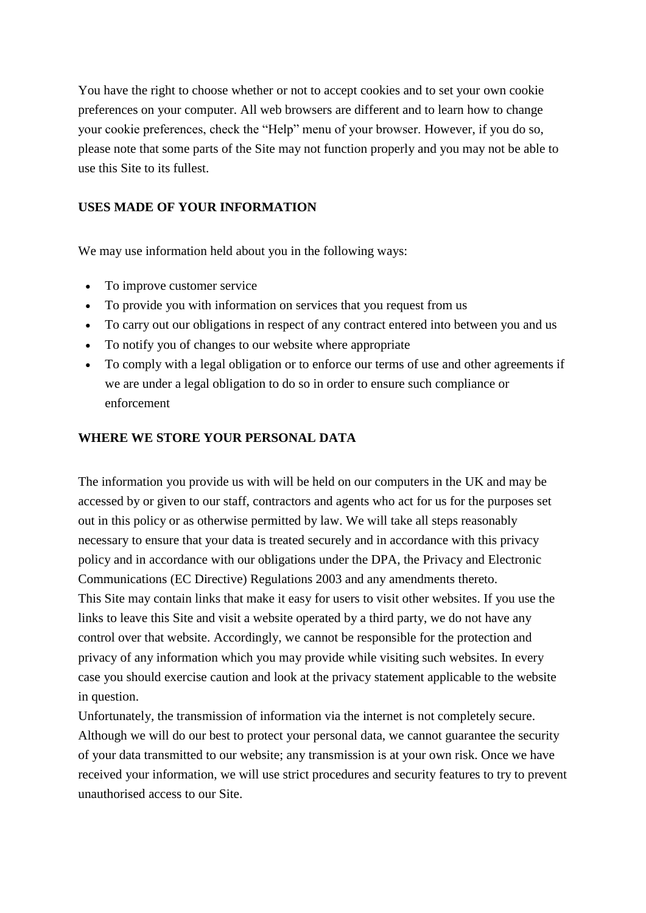You have the right to choose whether or not to accept cookies and to set your own cookie preferences on your computer. All web browsers are different and to learn how to change your cookie preferences, check the "Help" menu of your browser. However, if you do so, please note that some parts of the Site may not function properly and you may not be able to use this Site to its fullest.

# **USES MADE OF YOUR INFORMATION**

We may use information held about you in the following ways:

- To improve customer service
- To provide you with information on services that you request from us
- To carry out our obligations in respect of any contract entered into between you and us
- To notify you of changes to our website where appropriate
- To comply with a legal obligation or to enforce our terms of use and other agreements if we are under a legal obligation to do so in order to ensure such compliance or enforcement

### **WHERE WE STORE YOUR PERSONAL DATA**

The information you provide us with will be held on our computers in the UK and may be accessed by or given to our staff, contractors and agents who act for us for the purposes set out in this policy or as otherwise permitted by law. We will take all steps reasonably necessary to ensure that your data is treated securely and in accordance with this privacy policy and in accordance with our obligations under the DPA, the Privacy and Electronic Communications (EC Directive) Regulations 2003 and any amendments thereto. This Site may contain links that make it easy for users to visit other websites. If you use the links to leave this Site and visit a website operated by a third party, we do not have any control over that website. Accordingly, we cannot be responsible for the protection and privacy of any information which you may provide while visiting such websites. In every case you should exercise caution and look at the privacy statement applicable to the website in question.

Unfortunately, the transmission of information via the internet is not completely secure. Although we will do our best to protect your personal data, we cannot guarantee the security of your data transmitted to our website; any transmission is at your own risk. Once we have received your information, we will use strict procedures and security features to try to prevent unauthorised access to our Site.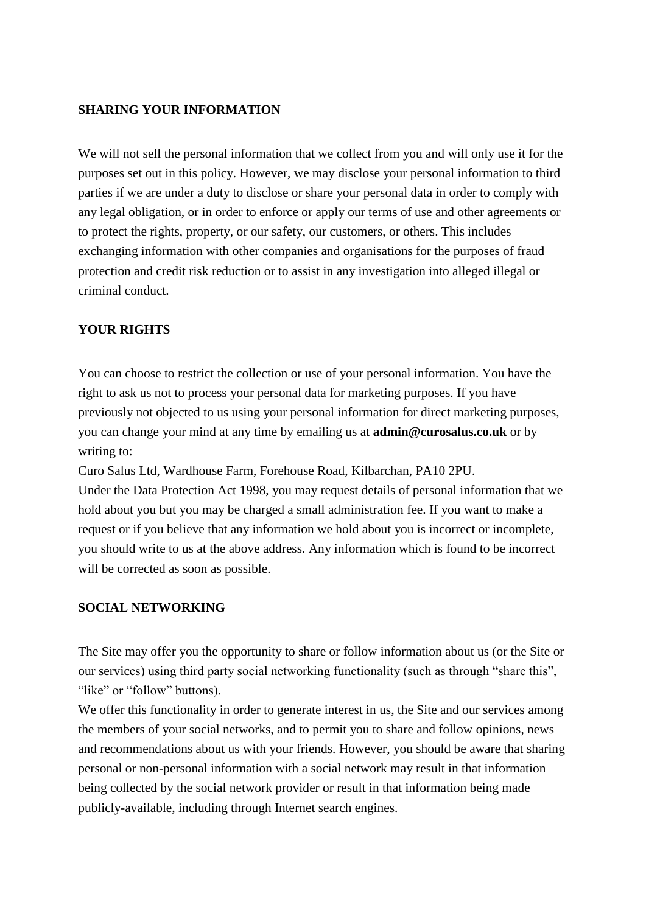### **SHARING YOUR INFORMATION**

We will not sell the personal information that we collect from you and will only use it for the purposes set out in this policy. However, we may disclose your personal information to third parties if we are under a duty to disclose or share your personal data in order to comply with any legal obligation, or in order to enforce or apply our terms of use and other agreements or to protect the rights, property, or our safety, our customers, or others. This includes exchanging information with other companies and organisations for the purposes of fraud protection and credit risk reduction or to assist in any investigation into alleged illegal or criminal conduct.

### **YOUR RIGHTS**

You can choose to restrict the collection or use of your personal information. You have the right to ask us not to process your personal data for marketing purposes. If you have previously not objected to us using your personal information for direct marketing purposes, you can change your mind at any time by emailing us at **[admin@curosalus.co.uk](mailto:admin@curosalus.co.uk)** or by writing to:

Curo Salus Ltd, Wardhouse Farm, Forehouse Road, Kilbarchan, PA10 2PU.

Under the Data Protection Act 1998, you may request details of personal information that we hold about you but you may be charged a small administration fee. If you want to make a request or if you believe that any information we hold about you is incorrect or incomplete, you should write to us at the above address. Any information which is found to be incorrect will be corrected as soon as possible.

#### **SOCIAL NETWORKING**

The Site may offer you the opportunity to share or follow information about us (or the Site or our services) using third party social networking functionality (such as through "share this", "like" or "follow" buttons).

We offer this functionality in order to generate interest in us, the Site and our services among the members of your social networks, and to permit you to share and follow opinions, news and recommendations about us with your friends. However, you should be aware that sharing personal or non-personal information with a social network may result in that information being collected by the social network provider or result in that information being made publicly-available, including through Internet search engines.